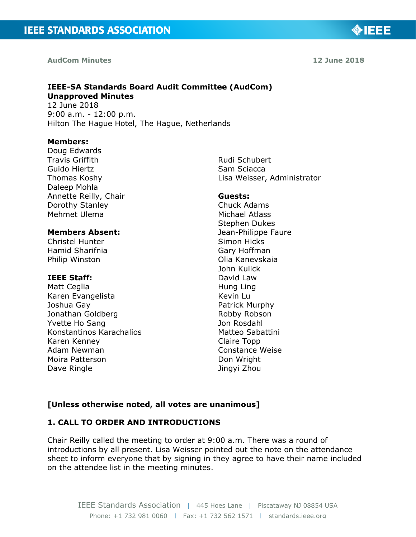#### **AudCom Minutes 12 June 2018**

◈IEEE

## **IEEE-SA Standards Board Audit Committee (AudCom) Unapproved Minutes**

12 June 2018 9:00 a.m. - 12:00 p.m. Hilton The Hague Hotel, The Hague, Netherlands

#### **Members:**

Doug Edwards Travis Griffith Guido Hiertz Thomas Koshy Daleep Mohla Annette Reilly, Chair Dorothy Stanley Mehmet Ulema

## **Members Absent:**

Christel Hunter Hamid Sharifnia Philip Winston

#### **IEEE Staff:**

Matt Ceglia Karen Evangelista Joshua Gay Jonathan Goldberg Yvette Ho Sang Konstantinos Karachalios Karen Kenney Adam Newman Moira Patterson Dave Ringle

Rudi Schubert Sam Sciacca Lisa Weisser, Administrator

#### **Guests:**

Chuck Adams Michael Atlass Stephen Dukes Jean-Philippe Faure Simon Hicks Gary Hoffman Olia Kanevskaia John Kulick David Law Hung Ling Kevin Lu Patrick Murphy Robby Robson Jon Rosdahl Matteo Sabattini Claire Topp Constance Weise Don Wright Jingyi Zhou

## **[Unless otherwise noted, all votes are unanimous]**

## **1. CALL TO ORDER AND INTRODUCTIONS**

Chair Reilly called the meeting to order at 9:00 a.m. There was a round of introductions by all present. Lisa Weisser pointed out the note on the attendance sheet to inform everyone that by signing in they agree to have their name included on the attendee list in the meeting minutes.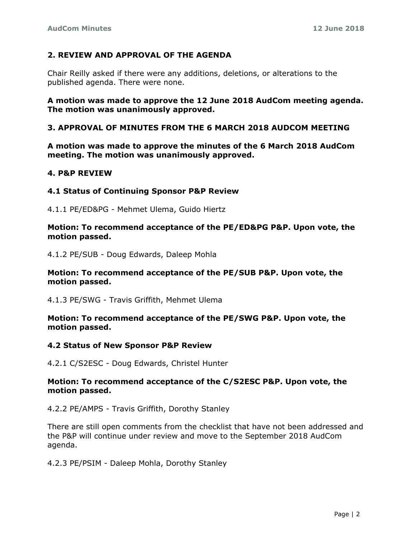## **2. REVIEW AND APPROVAL OF THE AGENDA**

Chair Reilly asked if there were any additions, deletions, or alterations to the published agenda. There were none.

## **A motion was made to approve the 12 June 2018 AudCom meeting agenda. The motion was unanimously approved.**

## **3. APPROVAL OF MINUTES FROM THE 6 MARCH 2018 AUDCOM MEETING**

**A motion was made to approve the minutes of the 6 March 2018 AudCom meeting. The motion was unanimously approved.**

### **4. P&P REVIEW**

### **4.1 Status of Continuing Sponsor P&P Review**

4.1.1 PE/ED&PG - Mehmet Ulema, Guido Hiertz

### **Motion: To recommend acceptance of the PE/ED&PG P&P. Upon vote, the motion passed.**

4.1.2 PE/SUB - Doug Edwards, Daleep Mohla

### **Motion: To recommend acceptance of the PE/SUB P&P. Upon vote, the motion passed.**

4.1.3 PE/SWG - Travis Griffith, Mehmet Ulema

### **Motion: To recommend acceptance of the PE/SWG P&P. Upon vote, the motion passed.**

#### **4.2 Status of New Sponsor P&P Review**

4.2.1 C/S2ESC - Doug Edwards, Christel Hunter

### **Motion: To recommend acceptance of the C/S2ESC P&P. Upon vote, the motion passed.**

4.2.2 PE/AMPS - Travis Griffith, Dorothy Stanley

There are still open comments from the checklist that have not been addressed and the P&P will continue under review and move to the September 2018 AudCom agenda.

4.2.3 PE/PSIM - Daleep Mohla, Dorothy Stanley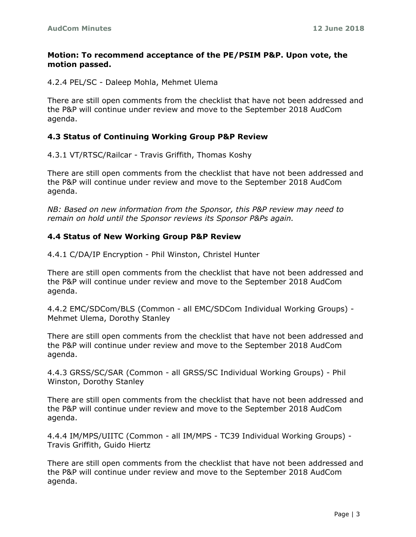## **Motion: To recommend acceptance of the PE/PSIM P&P. Upon vote, the motion passed.**

4.2.4 PEL/SC - Daleep Mohla, Mehmet Ulema

There are still open comments from the checklist that have not been addressed and the P&P will continue under review and move to the September 2018 AudCom agenda.

## **4.3 Status of Continuing Working Group P&P Review**

4.3.1 VT/RTSC/Railcar - Travis Griffith, Thomas Koshy

There are still open comments from the checklist that have not been addressed and the P&P will continue under review and move to the September 2018 AudCom agenda.

*NB: Based on new information from the Sponsor, this P&P review may need to remain on hold until the Sponsor reviews its Sponsor P&Ps again.*

# **4.4 Status of New Working Group P&P Review**

4.4.1 C/DA/IP Encryption - Phil Winston, Christel Hunter

There are still open comments from the checklist that have not been addressed and the P&P will continue under review and move to the September 2018 AudCom agenda.

4.4.2 EMC/SDCom/BLS (Common - all EMC/SDCom Individual Working Groups) - Mehmet Ulema, Dorothy Stanley

There are still open comments from the checklist that have not been addressed and the P&P will continue under review and move to the September 2018 AudCom agenda.

4.4.3 GRSS/SC/SAR (Common - all GRSS/SC Individual Working Groups) - Phil Winston, Dorothy Stanley

There are still open comments from the checklist that have not been addressed and the P&P will continue under review and move to the September 2018 AudCom agenda.

4.4.4 IM/MPS/UIITC (Common - all IM/MPS - TC39 Individual Working Groups) - Travis Griffith, Guido Hiertz

There are still open comments from the checklist that have not been addressed and the P&P will continue under review and move to the September 2018 AudCom agenda.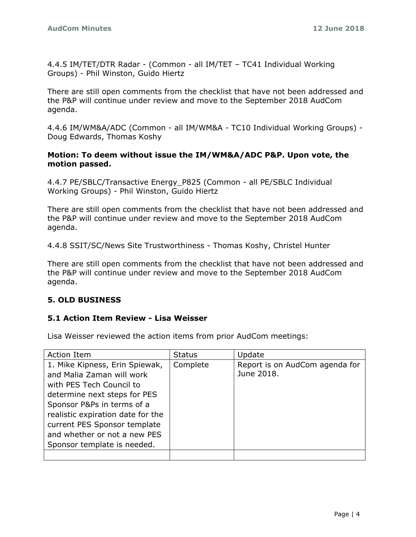4.4.5 IM/TET/DTR Radar - (Common - all IM/TET – TC41 Individual Working Groups) - Phil Winston, Guido Hiertz

There are still open comments from the checklist that have not been addressed and the P&P will continue under review and move to the September 2018 AudCom agenda.

4.4.6 IM/WM&A/ADC (Common - all IM/WM&A - TC10 Individual Working Groups) - Doug Edwards, Thomas Koshy

## **Motion: To deem without issue the IM/WM&A/ADC P&P. Upon vote, the motion passed.**

4.4.7 PE/SBLC/Transactive Energy\_P825 (Common - all PE/SBLC Individual Working Groups) - Phil Winston, Guido Hiertz

There are still open comments from the checklist that have not been addressed and the P&P will continue under review and move to the September 2018 AudCom agenda.

4.4.8 SSIT/SC/News Site Trustworthiness - Thomas Koshy, Christel Hunter

There are still open comments from the checklist that have not been addressed and the P&P will continue under review and move to the September 2018 AudCom agenda.

# **5. OLD BUSINESS**

# **5.1 Action Item Review - Lisa Weisser**

Lisa Weisser reviewed the action items from prior AudCom meetings:

| Action Item                                                                                                                                                                                                                                                                               | <b>Status</b> | Update                                       |
|-------------------------------------------------------------------------------------------------------------------------------------------------------------------------------------------------------------------------------------------------------------------------------------------|---------------|----------------------------------------------|
| 1. Mike Kipness, Erin Spiewak,<br>and Malia Zaman will work<br>with PES Tech Council to<br>determine next steps for PES<br>Sponsor P&Ps in terms of a<br>realistic expiration date for the<br>current PES Sponsor template<br>and whether or not a new PES<br>Sponsor template is needed. | Complete      | Report is on AudCom agenda for<br>June 2018. |
|                                                                                                                                                                                                                                                                                           |               |                                              |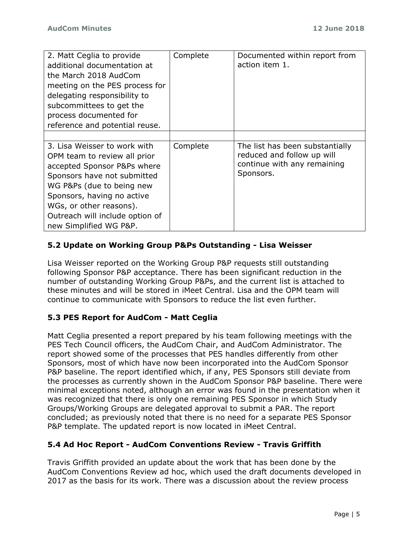| 2. Matt Ceglia to provide<br>additional documentation at<br>the March 2018 AudCom<br>meeting on the PES process for<br>delegating responsibility to<br>subcommittees to get the<br>process documented for                                                                     | Complete | Documented within report from<br>action item 1.                                                           |
|-------------------------------------------------------------------------------------------------------------------------------------------------------------------------------------------------------------------------------------------------------------------------------|----------|-----------------------------------------------------------------------------------------------------------|
| reference and potential reuse.                                                                                                                                                                                                                                                |          |                                                                                                           |
|                                                                                                                                                                                                                                                                               |          |                                                                                                           |
| 3. Lisa Weisser to work with<br>OPM team to review all prior<br>accepted Sponsor P&Ps where<br>Sponsors have not submitted<br>WG P&Ps (due to being new<br>Sponsors, having no active<br>WGs, or other reasons).<br>Outreach will include option of<br>new Simplified WG P&P. | Complete | The list has been substantially<br>reduced and follow up will<br>continue with any remaining<br>Sponsors. |

# **5.2 Update on Working Group P&Ps Outstanding - Lisa Weisser**

Lisa Weisser reported on the Working Group P&P requests still outstanding following Sponsor P&P acceptance. There has been significant reduction in the number of outstanding Working Group P&Ps, and the current list is attached to these minutes and will be stored in iMeet Central. Lisa and the OPM team will continue to communicate with Sponsors to reduce the list even further.

# **5.3 PES Report for AudCom - Matt Ceglia**

Matt Ceglia presented a report prepared by his team following meetings with the PES Tech Council officers, the AudCom Chair, and AudCom Administrator. The report showed some of the processes that PES handles differently from other Sponsors, most of which have now been incorporated into the AudCom Sponsor P&P baseline. The report identified which, if any, PES Sponsors still deviate from the processes as currently shown in the AudCom Sponsor P&P baseline. There were minimal exceptions noted, although an error was found in the presentation when it was recognized that there is only one remaining PES Sponsor in which Study Groups/Working Groups are delegated approval to submit a PAR. The report concluded; as previously noted that there is no need for a separate PES Sponsor P&P template. The updated report is now located in iMeet Central.

# **5.4 Ad Hoc Report - AudCom Conventions Review - Travis Griffith**

Travis Griffith provided an update about the work that has been done by the AudCom Conventions Review ad hoc, which used the draft documents developed in 2017 as the basis for its work. There was a discussion about the review process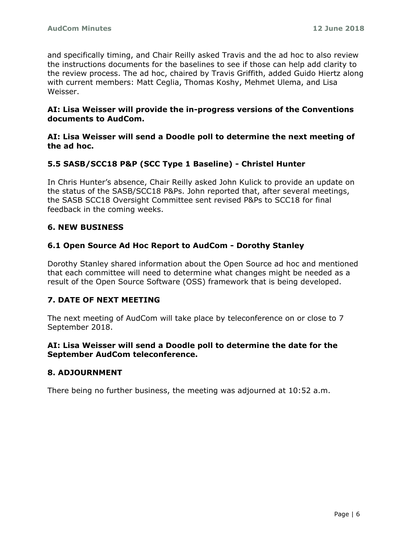and specifically timing, and Chair Reilly asked Travis and the ad hoc to also review the instructions documents for the baselines to see if those can help add clarity to the review process. The ad hoc, chaired by Travis Griffith, added Guido Hiertz along with current members: Matt Ceglia, Thomas Koshy, Mehmet Ulema, and Lisa Weisser.

## **AI: Lisa Weisser will provide the in-progress versions of the Conventions documents to AudCom.**

**AI: Lisa Weisser will send a Doodle poll to determine the next meeting of the ad hoc.**

# **5.5 SASB/SCC18 P&P (SCC Type 1 Baseline) - Christel Hunter**

In Chris Hunter's absence, Chair Reilly asked John Kulick to provide an update on the status of the SASB/SCC18 P&Ps. John reported that, after several meetings, the SASB SCC18 Oversight Committee sent revised P&Ps to SCC18 for final feedback in the coming weeks.

# **6. NEW BUSINESS**

# **6.1 Open Source Ad Hoc Report to AudCom - Dorothy Stanley**

Dorothy Stanley shared information about the Open Source ad hoc and mentioned that each committee will need to determine what changes might be needed as a result of the Open Source Software (OSS) framework that is being developed.

# **7. DATE OF NEXT MEETING**

The next meeting of AudCom will take place by teleconference on or close to 7 September 2018.

## **AI: Lisa Weisser will send a Doodle poll to determine the date for the September AudCom teleconference.**

## **8. ADJOURNMENT**

There being no further business, the meeting was adjourned at 10:52 a.m.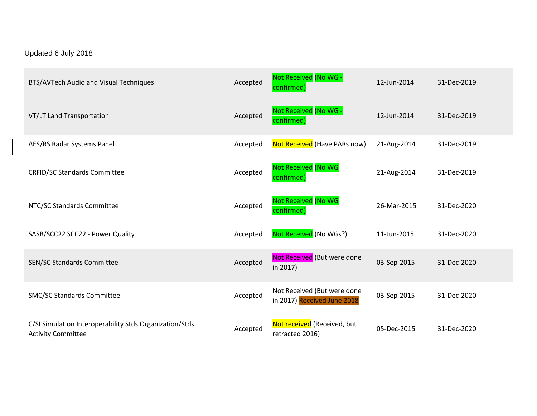# Updated 6 July 2018

| BTS/AVTech Audio and Visual Techniques                                               | Accepted | Not Received (No WG -<br>confirmed)                        | 12-Jun-2014 | 31-Dec-2019 |
|--------------------------------------------------------------------------------------|----------|------------------------------------------------------------|-------------|-------------|
| VT/LT Land Transportation                                                            | Accepted | Not Received (No WG -<br>confirmed)                        | 12-Jun-2014 | 31-Dec-2019 |
| AES/RS Radar Systems Panel                                                           | Accepted | Not Received (Have PARs now)                               | 21-Aug-2014 | 31-Dec-2019 |
| <b>CRFID/SC Standards Committee</b>                                                  | Accepted | Not Received (No WG<br>confirmed)                          | 21-Aug-2014 | 31-Dec-2019 |
| NTC/SC Standards Committee                                                           | Accepted | Not Received (No WG<br>confirmed)                          | 26-Mar-2015 | 31-Dec-2020 |
| SASB/SCC22 SCC22 - Power Quality                                                     | Accepted | Not Received (No WGs?)                                     | 11-Jun-2015 | 31-Dec-2020 |
| SEN/SC Standards Committee                                                           | Accepted | Not Received (But were done<br>in 2017)                    | 03-Sep-2015 | 31-Dec-2020 |
| SMC/SC Standards Committee                                                           | Accepted | Not Received (But were done<br>in 2017) Received June 2018 | 03-Sep-2015 | 31-Dec-2020 |
| C/SI Simulation Interoperability Stds Organization/Stds<br><b>Activity Committee</b> | Accepted | Not received (Received, but<br>retracted 2016)             | 05-Dec-2015 | 31-Dec-2020 |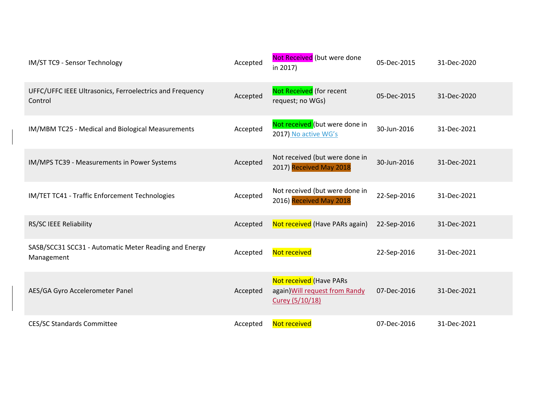| IM/ST TC9 - Sensor Technology                                       | Accepted | Not Received (but were done<br>in 2017)                                      | 05-Dec-2015 | 31-Dec-2020 |
|---------------------------------------------------------------------|----------|------------------------------------------------------------------------------|-------------|-------------|
| UFFC/UFFC IEEE Ultrasonics, Ferroelectrics and Frequency<br>Control | Accepted | Not Received (for recent<br>request; no WGs)                                 | 05-Dec-2015 | 31-Dec-2020 |
| IM/MBM TC25 - Medical and Biological Measurements                   | Accepted | Not received (but were done in<br>2017) No active WG's                       | 30-Jun-2016 | 31-Dec-2021 |
| IM/MPS TC39 - Measurements in Power Systems                         | Accepted | Not received (but were done in<br>2017) Received May 2018                    | 30-Jun-2016 | 31-Dec-2021 |
| IM/TET TC41 - Traffic Enforcement Technologies                      | Accepted | Not received (but were done in<br>2016) Received May 2018                    | 22-Sep-2016 | 31-Dec-2021 |
| RS/SC IEEE Reliability                                              | Accepted | Not received (Have PARs again)                                               | 22-Sep-2016 | 31-Dec-2021 |
| SASB/SCC31 SCC31 - Automatic Meter Reading and Energy<br>Management | Accepted | Not received                                                                 | 22-Sep-2016 | 31-Dec-2021 |
| AES/GA Gyro Accelerometer Panel                                     | Accepted | Not received (Have PARs<br>again) Will request from Randy<br>Curey (5/10/18) | 07-Dec-2016 | 31-Dec-2021 |
| <b>CES/SC Standards Committee</b>                                   | Accepted | Not received                                                                 | 07-Dec-2016 | 31-Dec-2021 |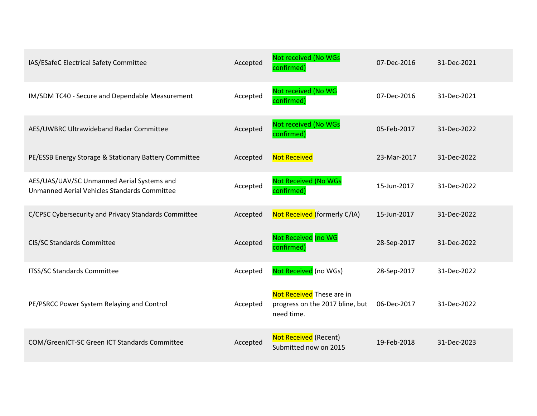| IAS/ESafeC Electrical Safety Committee                                                     | Accepted | Not received (No WGs<br>confirmed)                                         | 07-Dec-2016 | 31-Dec-2021 |
|--------------------------------------------------------------------------------------------|----------|----------------------------------------------------------------------------|-------------|-------------|
| IM/SDM TC40 - Secure and Dependable Measurement                                            | Accepted | Not received (No WG<br>confirmed)                                          | 07-Dec-2016 | 31-Dec-2021 |
| AES/UWBRC Ultrawideband Radar Committee                                                    | Accepted | Not received (No WGs<br>confirmed)                                         | 05-Feb-2017 | 31-Dec-2022 |
| PE/ESSB Energy Storage & Stationary Battery Committee                                      | Accepted | <b>Not Received</b>                                                        | 23-Mar-2017 | 31-Dec-2022 |
| AES/UAS/UAV/SC Unmanned Aerial Systems and<br>Unmanned Aerial Vehicles Standards Committee | Accepted | <b>Not Received (No WGs</b><br>confirmed)                                  | 15-Jun-2017 | 31-Dec-2022 |
| C/CPSC Cybersecurity and Privacy Standards Committee                                       | Accepted | Not Received (formerly C/IA)                                               | 15-Jun-2017 | 31-Dec-2022 |
| CIS/SC Standards Committee                                                                 | Accepted | Not Received (no WG<br>confirmed)                                          | 28-Sep-2017 | 31-Dec-2022 |
| ITSS/SC Standards Committee                                                                | Accepted | Not Received (no WGs)                                                      | 28-Sep-2017 | 31-Dec-2022 |
| PE/PSRCC Power System Relaying and Control                                                 | Accepted | Not Received These are in<br>progress on the 2017 bline, but<br>need time. | 06-Dec-2017 | 31-Dec-2022 |
| COM/GreenICT-SC Green ICT Standards Committee                                              | Accepted | <b>Not Received (Recent)</b><br>Submitted now on 2015                      | 19-Feb-2018 | 31-Dec-2023 |